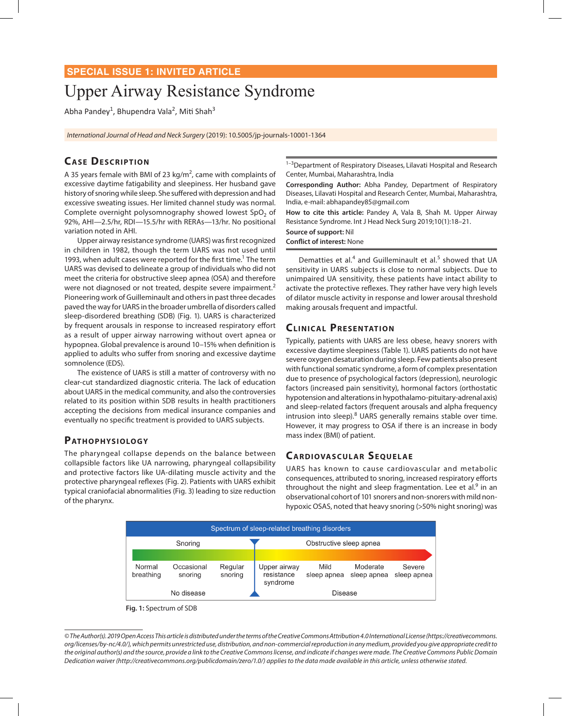## **SPECIAL ISSUE 1: INVITED ARTICLE**

# Upper Airway Resistance Syndrome

Abha Pandey<sup>1</sup>, Bhupendra Vala<sup>2</sup>, Miti Shah<sup>3</sup>

*International Journal of Head and Neck Surgery* (2019): 10.5005/jp-journals-10001-1364

# **CASE DESCRIPTION**

A 35 years female with BMI of 23  $kg/m<sup>2</sup>$ , came with complaints of excessive daytime fatigability and sleepiness. Her husband gave history of snoring while sleep. She suffered with depression and had excessive sweating issues. Her limited channel study was normal. Complete overnight polysomnography showed lowest  $SpO<sub>2</sub>$  of 92%, AHI—2.5/hr, RDI—15.5/hr with RERAs—13/hr. No positional variation noted in AHI.

Upper airway resistance syndrome (UARS) was first recognized in children in 1982, though the term UARS was not used until 1993, when adult cases were reported for the first time.<sup>1</sup> The term UARS was devised to delineate a group of individuals who did not meet the criteria for obstructive sleep apnea (OSA) and therefore were not diagnosed or not treated, despite severe impairment.<sup>2</sup> Pioneering work of Guilleminault and others in past three decades paved the way for UARS in the broader umbrella of disorders called sleep-disordered breathing (SDB) (Fig. 1). UARS is characterized by frequent arousals in response to increased respiratory effort as a result of upper airway narrowing without overt apnea or hypopnea. Global prevalence is around 10–15% when definition is applied to adults who suffer from snoring and excessive daytime somnolence (EDS).

The existence of UARS is still a matter of controversy with no clear-cut standardized diagnostic criteria. The lack of education about UARS in the medical community, and also the controversies related to its position within SDB results in health practitioners accepting the decisions from medical insurance companies and eventually no specific treatment is provided to UARS subjects.

#### PATHOPHYSIOLOGY

The pharyngeal collapse depends on the balance between collapsible factors like UA narrowing, pharyngeal collapsibility and protective factors like UA-dilating muscle activity and the protective pharyngeal reflexes (Fig. 2). Patients with UARS exhibit typical craniofacial abnormalities (Fig. 3) leading to size reduction of the pharynx.

<sup>1-3</sup>Department of Respiratory Diseases, Lilavati Hospital and Research Center, Mumbai, Maharashtra, India

**Corresponding Author:** Abha Pandey, Department of Respiratory Diseases, Lilavati Hospital and Research Center, Mumbai, Maharashtra, India, e-mail: abhapandey85@gmail.com

**How to cite this article:** Pandey A, Vala B, Shah M. Upper Airway Resistance Syndrome. Int J Head Neck Surg 2019;10(1):18–21.

**Source of support:** Nil

**Conflict of interest:** None

Dematties et al.<sup>4</sup> and Guilleminault et al.<sup>5</sup> showed that UA sensitivity in UARS subjects is close to normal subjects. Due to unimpaired UA sensitivity, these patients have intact ability to activate the protective reflexes. They rather have very high levels of dilator muscle activity in response and lower arousal threshold making arousals frequent and impactful.

## **CLINICAL PRESENTATION**

Typically, patients with UARS are less obese, heavy snorers with excessive daytime sleepiness (Table 1). UARS patients do not have severe oxygen desaturation during sleep. Few patients also present with functional somatic syndrome, a form of complex presentation due to presence of psychological factors (depression), neurologic factors (increased pain sensitivity), hormonal factors (orthostatic hypotension and alterations in hypothalamo-pituitary-adrenal axis) and sleep-related factors (frequent arousals and alpha frequency intrusion into sleep).<sup>8</sup> UARS generally remains stable over time. However, it may progress to OSA if there is an increase in body mass index (BMI) of patient.

## **CARDIOVASCULAR SEQUELAE**

UARS has known to cause cardiovascular and metabolic consequences, attributed to snoring, increased respiratory efforts throughout the night and sleep fragmentation. Lee et al.<sup>9</sup> in an observational cohort of 101 snorers and non-snorers with mild nonhypoxic OSAS, noted that heavy snoring (>50% night snoring) was



**Fig. 1:** Spectrum of SDB

*<sup>©</sup> The Author(s). 2019 Open Access This article is distributed under the terms of the Creative Commons Attribution 4.0 International License (https://creativecommons. org/licenses/by-nc/4.0/), which permits unrestricted use, distribution, and non-commercial reproduction in any medium, provided you give appropriate credit to the original author(s) and the source, provide a link to the Creative Commons license, and indicate if changes were made. The Creative Commons Public Domain Dedication waiver (http://creativecommons.org/publicdomain/zero/1.0/) applies to the data made available in this article, unless otherwise stated.*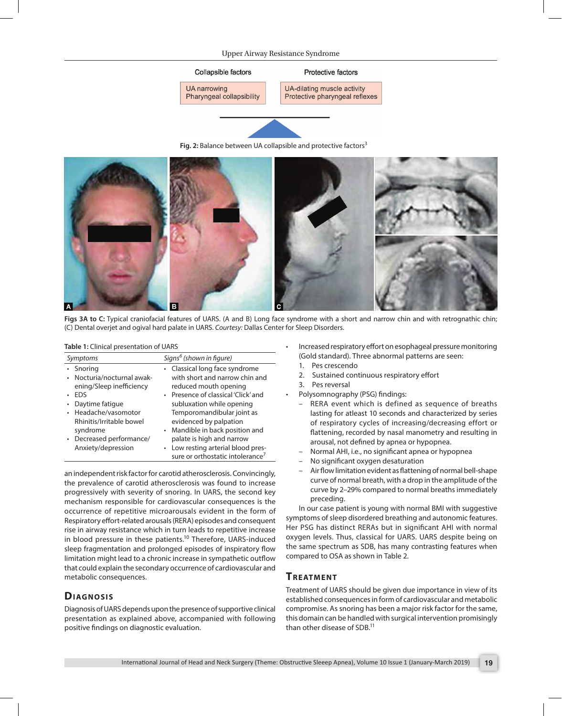#### Upper Airway Resistance Syndrome



Fig. 2: Balance between UA collapsible and protective factors<sup>3</sup>



**Figs 3A to C:** Typical craniofacial features of UARS. (A and B) Long face syndrome with a short and narrow chin and with retrognathic chin; (C) Dental overjet and ogival hard palate in UARS. *Courtesy:* Dallas Center for Sleep Disorders.

**Table 1:** Clinical presentation of UARS

| Symptoms                            | Signs <sup>6</sup> (shown in figure)                             |  |
|-------------------------------------|------------------------------------------------------------------|--|
| Snoring<br>Nocturia/nocturnal awak- | • Classical long face syndrome<br>with short and narrow chin and |  |
| ening/Sleep inefficiency            | reduced mouth opening                                            |  |
| <b>FDS</b>                          | • Presence of classical 'Click' and                              |  |
| Daytime fatique                     | subluxation while opening                                        |  |
| • Headache/vasomotor                | Temporomandibular joint as                                       |  |
| Rhinitis/Irritable bowel            | evidenced by palpation                                           |  |
| syndrome                            | • Mandible in back position and                                  |  |
| Decreased performance/              | palate is high and narrow                                        |  |
| Anxiety/depression                  | • Low resting arterial blood pres-                               |  |
|                                     | sure or orthostatic intolerance <sup>7</sup>                     |  |

an independent risk factor for carotid atherosclerosis. Convincingly, the prevalence of carotid atherosclerosis was found to increase progressively with severity of snoring. In UARS, the second key mechanism responsible for cardiovascular consequences is the occurrence of repetitive microarousals evident in the form of Respiratory effort-related arousals (RERA) episodes and consequent rise in airway resistance which in turn leads to repetitive increase in blood pressure in these patients.<sup>10</sup> Therefore, UARS-induced sleep fragmentation and prolonged episodes of inspiratory flow limitation might lead to a chronic increase in sympathetic outflow that could explain the secondary occurrence of cardiovascular and metabolic consequences.

## **DIAGNOSIS**

Diagnosis of UARS depends upon the presence of supportive clinical presentation as explained above, accompanied with following positive findings on diagnostic evaluation.

- Increased respiratory effort on esophageal pressure monitoring (Gold standard). Three abnormal patterns are seen:
	- 1. Pes crescendo
	- 2. Sustained continuous respiratory effort
- 3. Pes reversal
- Polysomnography (PSG) findings:
	- RERA event which is defined as sequence of breaths lasting for atleast 10 seconds and characterized by series of respiratory cycles of increasing/decreasing effort or flattening, recorded by nasal manometry and resulting in arousal, not defined by apnea or hypopnea.
	- Normal AHI, i.e., no significant apnea or hypopnea
	- No significant oxygen desaturation
	- Air flow limitation evident as flattening of normal bell-shape curve of normal breath, with a drop in the amplitude of the curve by 2–29% compared to normal breaths immediately preceding.

In our case patient is young with normal BMI with suggestive symptoms of sleep disordered breathing and autonomic features. Her PSG has distinct RERAs but in significant AHI with normal oxygen levels. Thus, classical for UARS. UARS despite being on the same spectrum as SDB, has many contrasting features when compared to OSA as shown in Table 2.

## **TREATMENT**

Treatment of UARS should be given due importance in view of its established consequences in form of cardiovascular and metabolic compromise. As snoring has been a major risk factor for the same, this domain can be handled with surgical intervention promisingly than other disease of SDB.<sup>11</sup>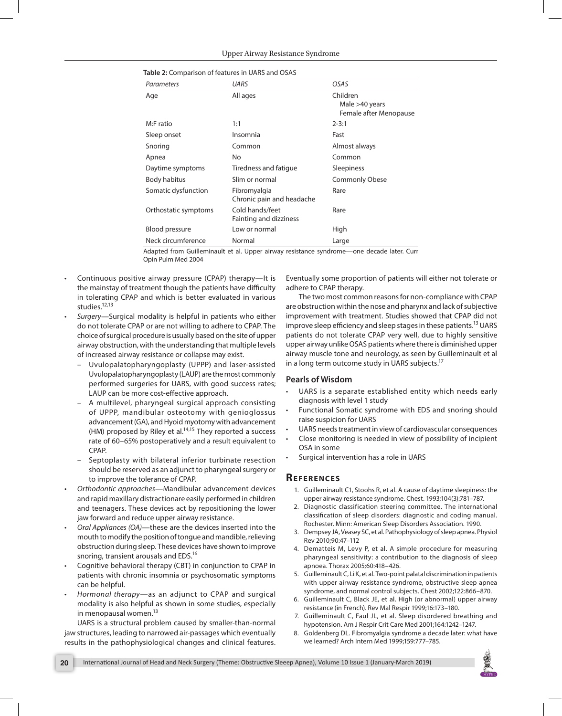| <b>UARS</b>                               | OSAS                                                 |
|-------------------------------------------|------------------------------------------------------|
| All ages                                  | Children<br>Male >40 years<br>Female after Menopause |
| 1:1                                       | $2 - 3:1$                                            |
| Insomnia                                  | Fast                                                 |
| Common                                    | Almost always                                        |
| No                                        | Common                                               |
| Tiredness and fatigue                     | Sleepiness                                           |
| Slim or normal                            | <b>Commonly Obese</b>                                |
| Fibromyalgia<br>Chronic pain and headache | Rare                                                 |
| Cold hands/feet<br>Fainting and dizziness | Rare                                                 |
| Low or normal                             | High                                                 |
| Normal                                    | Large                                                |
|                                           |                                                      |

|  |  |  | Table 2: Comparison of features in UARS and OSAS |
|--|--|--|--------------------------------------------------|
|--|--|--|--------------------------------------------------|

Adapted from Guilleminault et al. Upper airway resistance syndrome—one decade later. Curr Opin Pulm Med 2004

- Continuous positive airway pressure (CPAP) therapy—It is the mainstay of treatment though the patients have difficulty in tolerating CPAP and which is better evaluated in various studies.<sup>12,13</sup>
- *• Surgery*—Surgical modality is helpful in patients who either do not tolerate CPAP or are not willing to adhere to CPAP. The choice of surgical procedure is usually based on the site of upper airway obstruction, with the understanding that multiple levels of increased airway resistance or collapse may exist.
	- Uvulopalatopharyngoplasty (UPPP) and laser-assisted Uvulopalatopharyngoplasty (LAUP) are the most commonly performed surgeries for UARS, with good success rates; LAUP can be more cost-effective approach.
	- A multilevel, pharyngeal surgical approach consisting of UPPP, mandibular osteotomy with genioglossus advancement (GA), and Hyoid myotomy with advancement (HM) proposed by Riley et al. $14,15$  They reported a success rate of 60–65% postoperatively and a result equivalent to CPAP.
	- Septoplasty with bilateral inferior turbinate resection should be reserved as an adjunct to pharyngeal surgery or to improve the tolerance of CPAP.
- *• Orthodontic approaches*—Mandibular advancement devices and rapid maxillary distractionare easily performed in children and teenagers. These devices act by repositioning the lower jaw forward and reduce upper airway resistance.
- *• Oral Appliances (OA)*—these are the devices inserted into the mouth to modify the position of tongue and mandible, relieving obstruction during sleep. These devices have shown to improve snoring, transient arousals and EDS.16
- Cognitive behavioral therapy (CBT) in conjunction to CPAP in patients with chronic insomnia or psychosomatic symptoms can be helpful.
- *• Hormonal therapy—*as an adjunct to CPAP and surgical modality is also helpful as shown in some studies, especially in menopausal women.<sup>13</sup>

UARS is a structural problem caused by smaller-than-normal jaw structures, leading to narrowed air-passages which eventually results in the pathophysiological changes and clinical features.

Eventually some proportion of patients will either not tolerate or adhere to CPAP therapy.

The two most common reasons for non-compliance with CPAP are obstruction within the nose and pharynx and lack of subjective improvement with treatment. Studies showed that CPAP did not improve sleep efficiency and sleep stages in these patients.<sup>13</sup> UARS patients do not tolerate CPAP very well, due to highly sensitive upper airway unlike OSAS patients where there is diminished upper airway muscle tone and neurology, as seen by Guilleminault et al in a long term outcome study in UARS subjects.<sup>17</sup>

#### **Pearls of Wisdom**

- UARS is a separate established entity which needs early diagnosis with level 1 study
- Functional Somatic syndrome with EDS and snoring should raise suspicion for UARS
- UARS needs treatment in view of cardiovascular consequences
- Close monitoring is needed in view of possibility of incipient OSA in some
- Surgical intervention has a role in UARS

### **Re f e r e nce s**

- 1. Guilleminault C1, Stoohs R, et al. A cause of daytime sleepiness: the upper airway resistance syndrome. Chest. 1993;104(3):781–787.
- 2. Diagnostic classification steering committee. The international classification of sleep disorders: diagnostic and coding manual. Rochester. Minn: American Sleep Disorders Association. 1990.
- 3. Dempsey JA, Veasey SC, et al. Pathophysiology of sleep apnea. Physiol Rev 2010;90:47–112
- 4. Dematteis M, Levy P, et al. A simple procedure for measuring pharyngeal sensitivity: a contribution to the diagnosis of sleep apnoea. Thorax 2005;60:418–426.
- 5. Guilleminault C, Li K, et al. Two-point palatal discrimination in patients with upper airway resistance syndrome, obstructive sleep apnea syndrome, and normal control subjects. Chest 2002;122:866–870.
- 6. Guilleminault C, Black JE, et al. High (or abnormal) upper airway resistance (in French). Rev Mal Respir 1999;16:173–180.
- 7. Guilleminault C, Faul JL, et al. Sleep disordered breathing and hypotension. Am J Respir Crit Care Med 2001;164:1242–1247.
- 8. Goldenberg DL. Fibromyalgia syndrome a decade later: what have we learned? Arch Intern Med 1999;159:777–785.